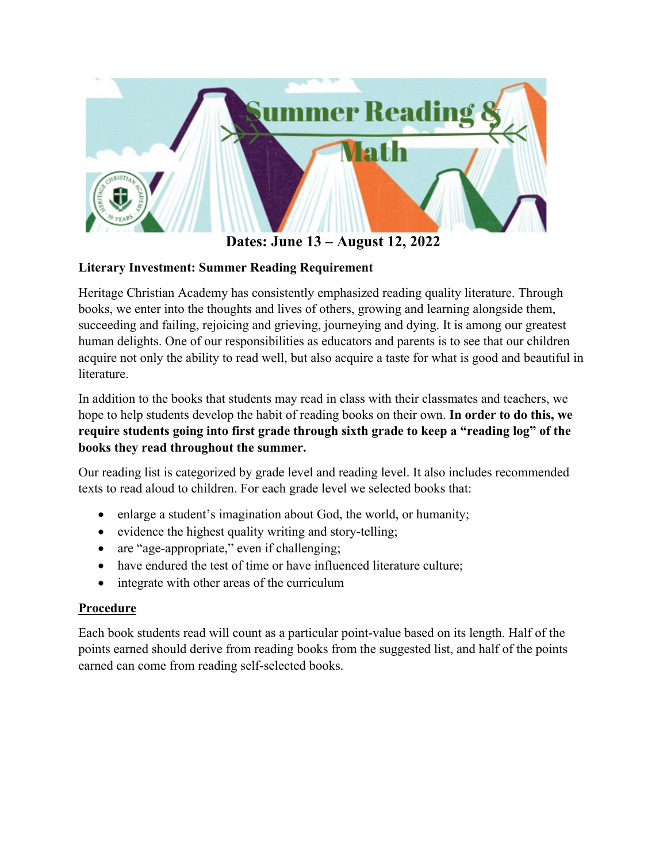

**Dates: June 13 – August 12, 2022**

### **Literary Investment: Summer Reading Requirement**

Heritage Christian Academy has consistently emphasized reading quality literature. Through books, we enter into the thoughts and lives of others, growing and learning alongside them, succeeding and failing, rejoicing and grieving, journeying and dying. It is among our greatest human delights. One of our responsibilities as educators and parents is to see that our children acquire not only the ability to read well, but also acquire a taste for what is good and beautiful in literature.

In addition to the books that students may read in class with their classmates and teachers, we hope to help students develop the habit of reading books on their own. **In order to do this, we require students going into first grade through sixth grade to keep a "reading log" of the books they read throughout the summer.** 

Our reading list is categorized by grade level and reading level. It also includes recommended texts to read aloud to children. For each grade level we selected books that:

- enlarge a student's imagination about God, the world, or humanity;
- evidence the highest quality writing and story-telling;
- are "age-appropriate," even if challenging;
- have endured the test of time or have influenced literature culture;
- integrate with other areas of the curriculum

### **Procedure**

Each book students read will count as a particular point-value based on its length. Half of the points earned should derive from reading books from the suggested list, and half of the points earned can come from reading self-selected books.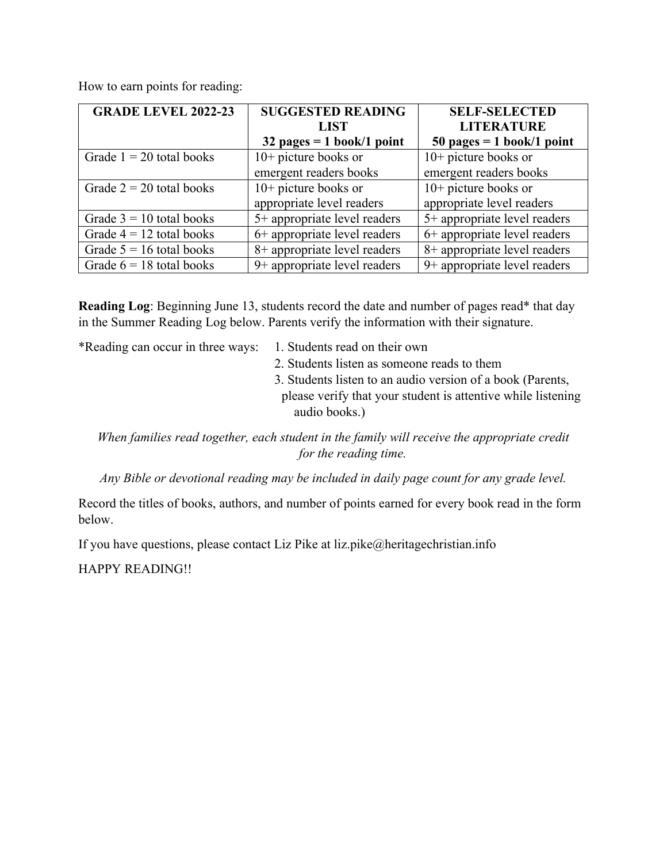**GRADE LEVEL 2022-23 \ SUGGESTED READING LIST 32 pages = 1 book/1 point SELF-SELECTED LITERATURE 50 pages = 1 book/1 point** Grade  $1 = 20$  total books 10+ picture books or emergent readers books 10+ picture books or emergent readers books Grade  $2 = 20$  total books 10+ picture books or appropriate level readers 10+ picture books or appropriate level readers Grade  $3 = 10$  total books  $\begin{vmatrix} 5 + \text{appropriate level readers} \\ 5 + \text{ appropriate level readers} \end{vmatrix}$ Grade  $4 = 12$  total books  $\begin{bmatrix} 6 \\ 4 \end{bmatrix}$  6+ appropriate level readers  $\begin{bmatrix} 6 \\ 4 \end{bmatrix}$  6+ appropriate level readers Grade  $5 = 16$  total books  $\begin{array}{|l|l|} \hline 8+ \hline 8+ \hline 8+ \hline 8+ \hline 8+ \hline 8+ \hline 8+ \hline 8+ \hline 8+ \hline 8+ \hline 8+ \hline 8+ \hline 8+ \hline 8+ \hline 8+ \hline 8+ \hline 8+ \hline 8+ \hline 8+ \hline 8+ \hline 8+ \hline 8+ \hline 8+ \hline 8+ \hline 8+ \hline 8+ \hline 8+ \hline 8+ \hline 8+ \hline 8+ \hline$ Grade  $6 = 18$  total books 9+ appropriate level readers 9+ appropriate level readers

How to earn points for reading:

**Reading Log**: Beginning June 13, students record the date and number of pages read\* that day in the Summer Reading Log below. Parents verify the information with their signature.

\*Reading can occur in three ways: 1. Students read on their own

- 
- 2. Students listen as someone reads to them
- 3. Students listen to an audio version of a book (Parents, please verify that your student is attentive while listening
	- audio books.)

*When families read together, each student in the family will receive the appropriate credit for the reading time.*

*Any Bible or devotional reading may be included in daily page count for any grade level.*

Record the titles of books, authors, and number of points earned for every book read in the form below.

If you have questions, please contact Liz Pike at liz.pike $@$ heritagechristian.info

HAPPY READING!!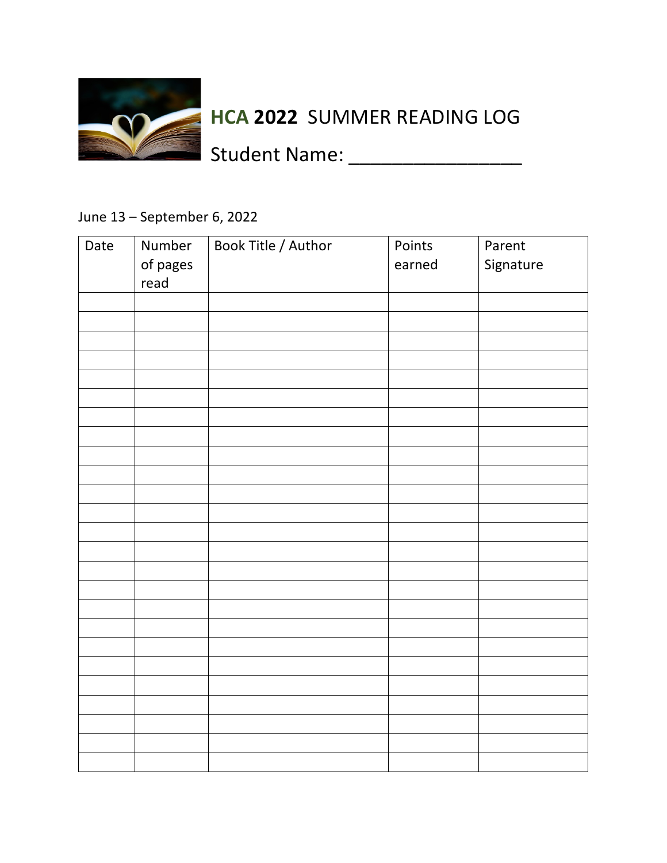

# **HCA 2022** SUMMER READING LOG

Student Name: \_\_\_\_\_\_\_\_\_\_\_\_\_\_\_\_

### June 13 – September 6, 2022

| Date | Number<br>of pages<br>read | Book Title / Author | Points<br>earned | Parent<br>Signature |
|------|----------------------------|---------------------|------------------|---------------------|
|      |                            |                     |                  |                     |
|      |                            |                     |                  |                     |
|      |                            |                     |                  |                     |
|      |                            |                     |                  |                     |
|      |                            |                     |                  |                     |
|      |                            |                     |                  |                     |
|      |                            |                     |                  |                     |
|      |                            |                     |                  |                     |
|      |                            |                     |                  |                     |
|      |                            |                     |                  |                     |
|      |                            |                     |                  |                     |
|      |                            |                     |                  |                     |
|      |                            |                     |                  |                     |
|      |                            |                     |                  |                     |
|      |                            |                     |                  |                     |
|      |                            |                     |                  |                     |
|      |                            |                     |                  |                     |
|      |                            |                     |                  |                     |
|      |                            |                     |                  |                     |
|      |                            |                     |                  |                     |
|      |                            |                     |                  |                     |
|      |                            |                     |                  |                     |
|      |                            |                     |                  |                     |
|      |                            |                     |                  |                     |
|      |                            |                     |                  |                     |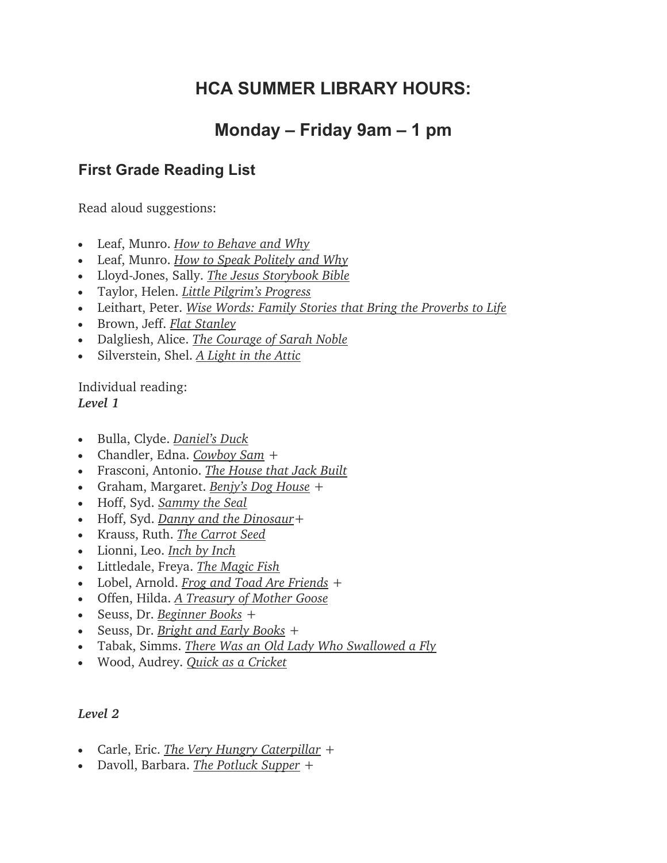## **HCA SUMMER LIBRARY HOURS:**

## **Monday – Friday 9am – 1 pm**

### **First Grade Reading List**

Read aloud suggestions:

- Leaf, Munro. *How to Behave and Why*
- Leaf, Munro. *How to Speak Politely and Why*
- Lloyd-Jones, Sally. *The Jesus Storybook Bible*
- Taylor, Helen. *Little Pilgrim's Progress*
- Leithart, Peter. *Wise Words: Family Stories that Bring the Proverbs to Life*
- Brown, Jeff. *Flat Stanley*
- Dalgliesh, Alice. *The Courage of Sarah Noble*
- Silverstein, Shel. *A Light in the Attic*

Individual reading: *Level 1*

- Bulla, Clyde. *Daniel's Duck*
- Chandler, Edna. *Cowboy Sam* +
- Frasconi, Antonio. *The House that Jack Built*
- Graham, Margaret. *Benjy's Dog House* +
- Hoff, Syd. *Sammy the Seal*
- Hoff, Syd. *Danny and the Dinosaur*+
- Krauss, Ruth. *The Carrot Seed*
- Lionni, Leo. *Inch by Inch*
- Littledale, Freya. *The Magic Fish*
- Lobel, Arnold. *Frog and Toad Are Friends* +
- Offen, Hilda. *A Treasury of Mother Goose*
- Seuss, Dr. *Beginner Books* +
- Seuss, Dr. *Bright and Early Books* +
- Tabak, Simms. *There Was an Old Lady Who Swallowed a Fly*
- Wood, Audrey. *Quick as a Cricket*

- Carle, Eric. *The Very Hungry Caterpillar* +
- Davoll, Barbara. *The Potluck Supper* +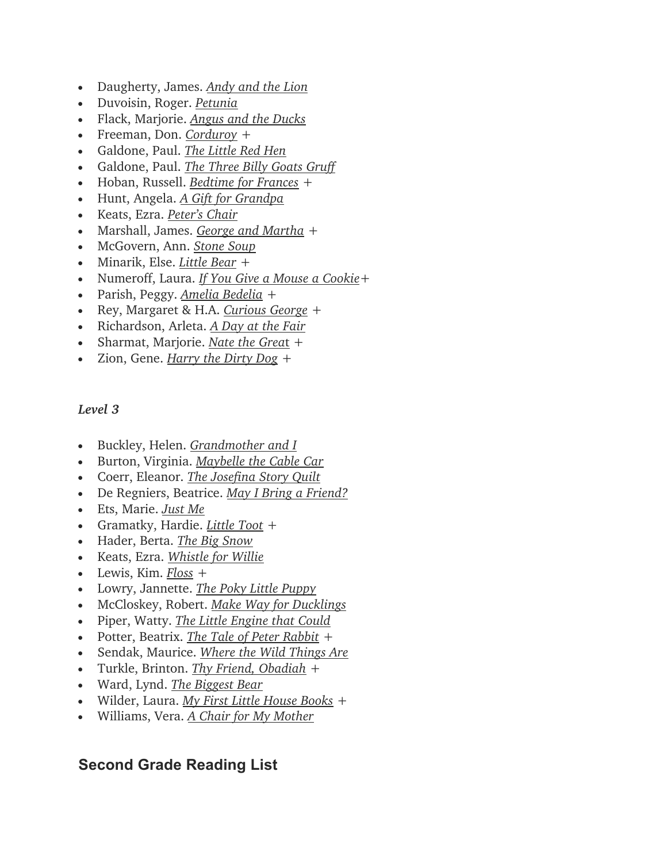- Daugherty, James. *Andy and the Lion*
- Duvoisin, Roger. *Petunia*
- Flack, Marjorie. *Angus and the Ducks*
- Freeman, Don. *Corduroy* +
- Galdone, Paul. *The Little Red Hen*
- Galdone, Paul. *The Three Billy Goats Gruff*
- Hoban, Russell. *Bedtime for Frances* +
- Hunt, Angela. *A Gift for Grandpa*
- Keats, Ezra. *Peter's Chair*
- Marshall, James. *George and Martha* +
- McGovern, Ann. *Stone Soup*
- Minarik, Else. *Little Bear* +
- Numeroff, Laura. *If You Give a Mouse a Cookie*+
- Parish, Peggy. *Amelia Bedelia* +
- Rey, Margaret & H.A. *Curious George* +
- Richardson, Arleta. *A Day at the Fair*
- Sharmat, Marjorie. *Nate the Grea*t +
- Zion, Gene. *Harry the Dirty Dog* +

- Buckley, Helen. *Grandmother and I*
- Burton, Virginia. *Maybelle the Cable Car*
- Coerr, Eleanor. *The Josefina Story Quilt*
- De Regniers, Beatrice. *May I Bring a Friend?*
- Ets, Marie. *Just Me*
- Gramatky, Hardie. *Little Toot* +
- Hader, Berta. *The Big Snow*
- Keats, Ezra. *Whistle for Willie*
- Lewis, Kim. *Floss* +
- Lowry, Jannette. *The Poky Little Puppy*
- McCloskey, Robert. *Make Way for Ducklings*
- Piper, Watty. *The Little Engine that Could*
- Potter, Beatrix. *The Tale of Peter Rabbit* +
- Sendak, Maurice. *Where the Wild Things Are*
- Turkle, Brinton. *Thy Friend, Obadiah* +
- Ward, Lynd. *The Biggest Bear*
- Wilder, Laura. *My First Little House Books* +
- Williams, Vera. *A Chair for My Mother*

### **Second Grade Reading List**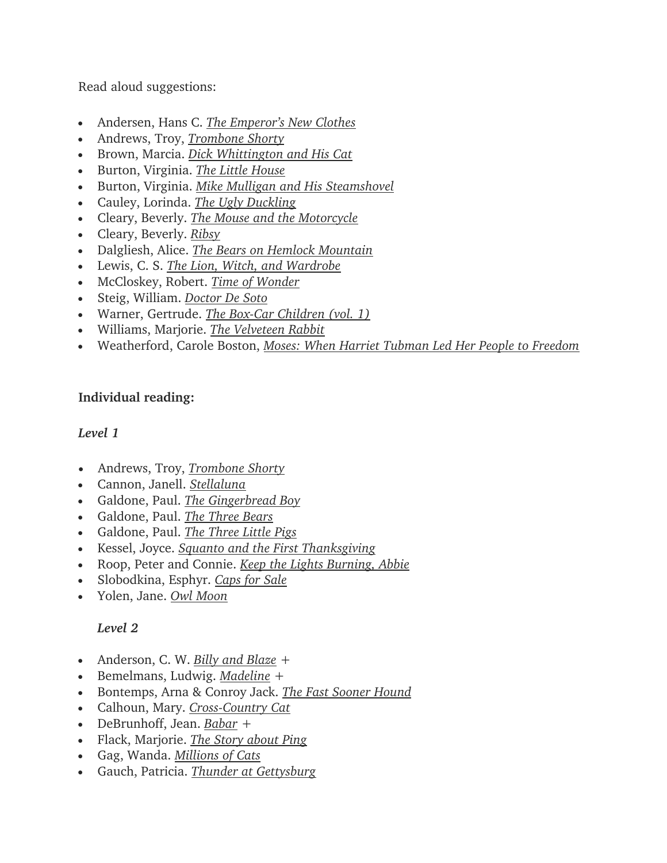Read aloud suggestions:

- Andersen, Hans C. *The Emperor's New Clothes*
- Andrews, Troy, *Trombone Shorty*
- Brown, Marcia. *Dick Whittington and His Cat*
- Burton, Virginia. *The Little House*
- Burton, Virginia. *Mike Mulligan and His Steamshovel*
- Cauley, Lorinda. *The Ugly Duckling*
- Cleary, Beverly. *The Mouse and the Motorcycle*
- Cleary, Beverly. *Ribsy*
- Dalgliesh, Alice. *The Bears on Hemlock Mountain*
- Lewis, C. S. *The Lion, Witch, and Wardrobe*
- McCloskey, Robert. *Time of Wonder*
- Steig, William. *Doctor De Soto*
- Warner, Gertrude. *The Box-Car Children (vol. 1)*
- Williams, Marjorie. *The Velveteen Rabbit*
- Weatherford, Carole Boston, *Moses: When Harriet Tubman Led Her People to Freedom*

### **Individual reading:**

### *Level 1*

- Andrews, Troy, *Trombone Shorty*
- Cannon, Janell. *Stellaluna*
- Galdone, Paul. *The Gingerbread Boy*
- Galdone, Paul. *The Three Bears*
- Galdone, Paul. *The Three Little Pigs*
- Kessel, Joyce. *Squanto and the First Thanksgiving*
- Roop, Peter and Connie. *Keep the Lights Burning, Abbie*
- Slobodkina, Esphyr. *Caps for Sale*
- Yolen, Jane. *Owl Moon*

- Anderson, C. W. *Billy and Blaze* +
- Bemelmans, Ludwig. *Madeline* +
- Bontemps, Arna & Conroy Jack. *The Fast Sooner Hound*
- Calhoun, Mary. *Cross-Country Cat*
- DeBrunhoff, Jean. *Babar* +
- Flack, Marjorie. *The Story about Ping*
- Gag, Wanda. *Millions of Cats*
- Gauch, Patricia. *Thunder at Gettysburg*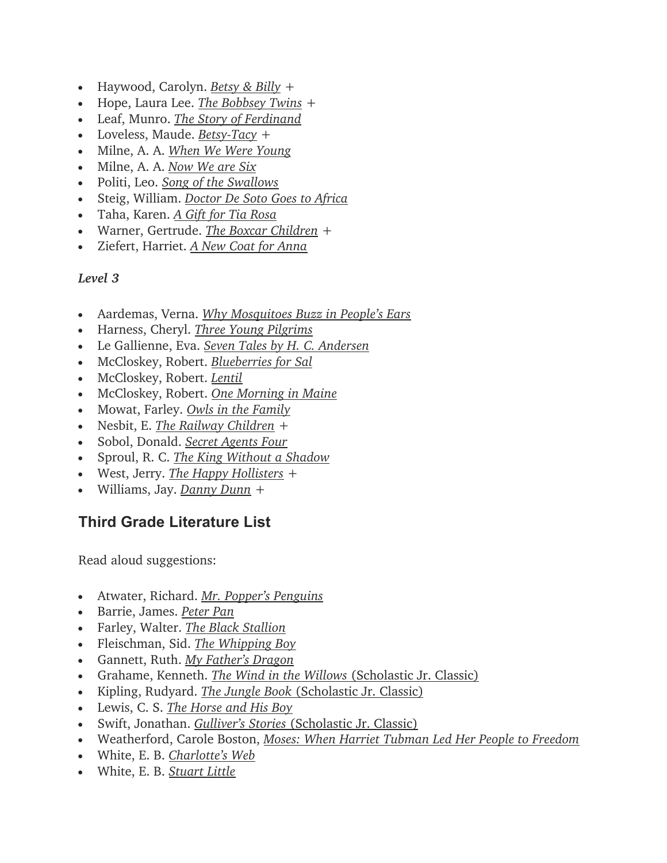- Haywood, Carolyn. *Betsy & Billy* +
- Hope, Laura Lee. *The Bobbsey Twins* +
- Leaf, Munro. *The Story of Ferdinand*
- Loveless, Maude. *Betsy-Tacy* +
- Milne, A. A. *When We Were Young*
- Milne, A. A. *Now We are Six*
- Politi, Leo. *Song of the Swallows*
- Steig, William. *Doctor De Soto Goes to Africa*
- Taha, Karen. *A Gift for Tia Rosa*
- Warner, Gertrude. *The Boxcar Children* +
- Ziefert, Harriet. *A New Coat for Anna*

- Aardemas, Verna. *Why Mosquitoes Buzz in People's Ears*
- Harness, Cheryl. *Three Young Pilgrims*
- Le Gallienne, Eva. *Seven Tales by H. C. Andersen*
- McCloskey, Robert. *Blueberries for Sal*
- McCloskey, Robert. *Lentil*
- McCloskey, Robert. *One Morning in Maine*
- Mowat, Farley. *Owls in the Family*
- Nesbit, E. *The Railway Children* +
- Sobol, Donald. *Secret Agents Four*
- Sproul, R. C. *The King Without a Shadow*
- West, Jerry. *The Happy Hollisters* +
- Williams, Jay. *Danny Dunn* +

### **Third Grade Literature List**

Read aloud suggestions:

- Atwater, Richard. *Mr. Popper's Penguins*
- Barrie, James. *Peter Pan*
- Farley, Walter. *The Black Stallion*
- Fleischman, Sid. *The Whipping Boy*
- Gannett, Ruth. *My Father's Dragon*
- Grahame, Kenneth. *The Wind in the Willows* (Scholastic Jr. Classic)
- Kipling, Rudyard. *The Jungle Book* (Scholastic Jr. Classic)
- Lewis, C. S. *The Horse and His Boy*
- Swift, Jonathan. *Gulliver's Stories* (Scholastic Jr. Classic)
- Weatherford, Carole Boston, *Moses: When Harriet Tubman Led Her People to Freedom*
- White, E. B. *Charlotte's Web*
- White, E. B. *Stuart Little*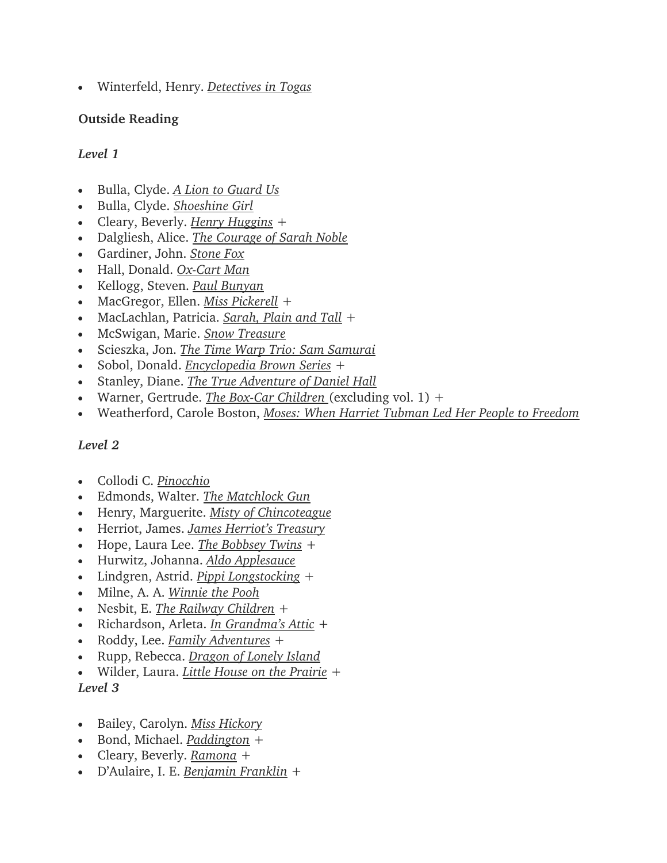• Winterfeld, Henry. *Detectives in Togas*

### **Outside Reading**

### *Level 1*

- Bulla, Clyde. *A Lion to Guard Us*
- Bulla, Clyde. *Shoeshine Girl*
- Cleary, Beverly. *Henry Huggins* +
- Dalgliesh, Alice. *The Courage of Sarah Noble*
- Gardiner, John. *Stone Fox*
- Hall, Donald. *Ox-Cart Man*
- Kellogg, Steven. *Paul Bunyan*
- MacGregor, Ellen. *Miss Pickerell* +
- MacLachlan, Patricia. *Sarah, Plain and Tall* +
- McSwigan, Marie. *Snow Treasure*
- Scieszka, Jon. *The Time Warp Trio: Sam Samurai*
- Sobol, Donald. *Encyclopedia Brown Series* +
- Stanley, Diane. *The True Adventure of Daniel Hall*
- Warner, Gertrude. *The Box-Car Children* (excluding vol. 1) +
- Weatherford, Carole Boston, *Moses: When Harriet Tubman Led Her People to Freedom*

### *Level 2*

- Collodi C. *Pinocchio*
- Edmonds, Walter. *The Matchlock Gun*
- Henry, Marguerite. *Misty of Chincoteague*
- Herriot, James. *James Herriot's Treasury*
- Hope, Laura Lee. *The Bobbsey Twins* +
- Hurwitz, Johanna. *Aldo Applesauce*
- Lindgren, Astrid. *Pippi Longstocking* +
- Milne, A. A. *Winnie the Pooh*
- Nesbit, E. *The Railway Children* +
- Richardson, Arleta. *In Grandma's Attic* +
- Roddy, Lee. *Family Adventures* +
- Rupp, Rebecca. *Dragon of Lonely Island*
- Wilder, Laura. *Little House on the Prairie* +

- Bailey, Carolyn. *Miss Hickory*
- Bond, Michael. *Paddington* +
- Cleary, Beverly. *Ramona* +
- D'Aulaire, I. E. *Benjamin Franklin* +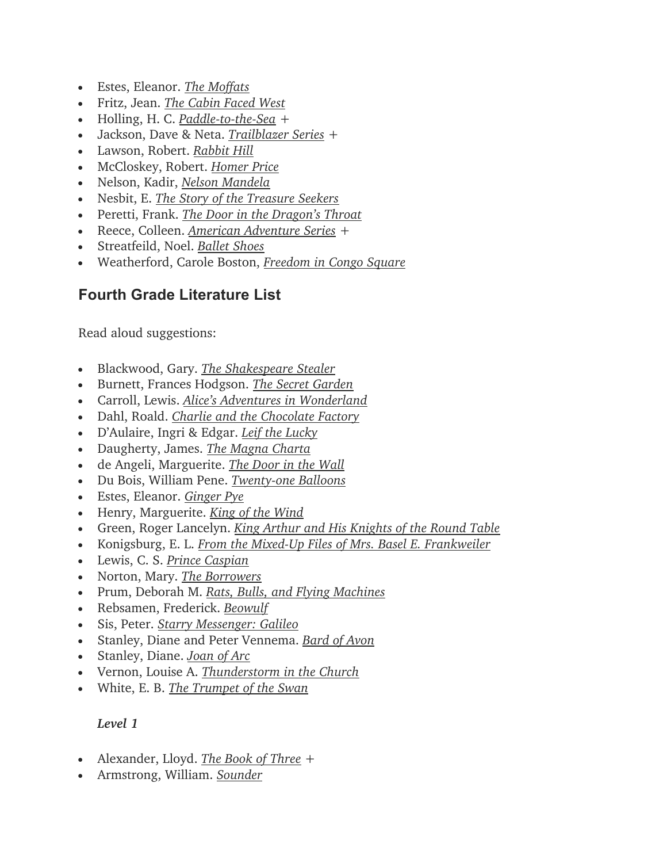- Estes, Eleanor. *The Moffats*
- Fritz, Jean. *The Cabin Faced West*
- Holling, H. C. *Paddle-to-the-Sea* +
- Jackson, Dave & Neta. *Trailblazer Series* +
- Lawson, Robert. *Rabbit Hill*
- McCloskey, Robert. *Homer Price*
- Nelson, Kadir, *Nelson Mandela*
- Nesbit, E. *The Story of the Treasure Seekers*
- Peretti, Frank. *The Door in the Dragon's Throat*
- Reece, Colleen. *American Adventure Series* +
- Streatfeild, Noel. *Ballet Shoes*
- Weatherford, Carole Boston, *Freedom in Congo Square*

### **Fourth Grade Literature List**

Read aloud suggestions:

- Blackwood, Gary. *The Shakespeare Stealer*
- Burnett, Frances Hodgson. *The Secret Garden*
- Carroll, Lewis. *Alice's Adventures in Wonderland*
- Dahl, Roald. *Charlie and the Chocolate Factory*
- D'Aulaire, Ingri & Edgar. *Leif the Lucky*
- Daugherty, James. *The Magna Charta*
- de Angeli, Marguerite. *The Door in the Wall*
- Du Bois, William Pene. *Twenty-one Balloons*
- Estes, Eleanor. *Ginger Pye*
- Henry, Marguerite. *King of the Wind*
- Green, Roger Lancelyn. *King Arthur and His Knights of the Round Table*
- Konigsburg, E. L. *From the Mixed-Up Files of Mrs. Basel E. Frankweiler*
- Lewis, C. S. *Prince Caspian*
- Norton, Mary. *The Borrowers*
- Prum, Deborah M. *Rats, Bulls, and Flying Machines*
- Rebsamen, Frederick. *Beowulf*
- Sis, Peter. *Starry Messenger: Galileo*
- Stanley, Diane and Peter Vennema. *Bard of Avon*
- Stanley, Diane. *Joan of Arc*
- Vernon, Louise A. *Thunderstorm in the Church*
- White, E. B. *The Trumpet of the Swan*

- Alexander, Lloyd. *The Book of Three* +
- Armstrong, William. *Sounder*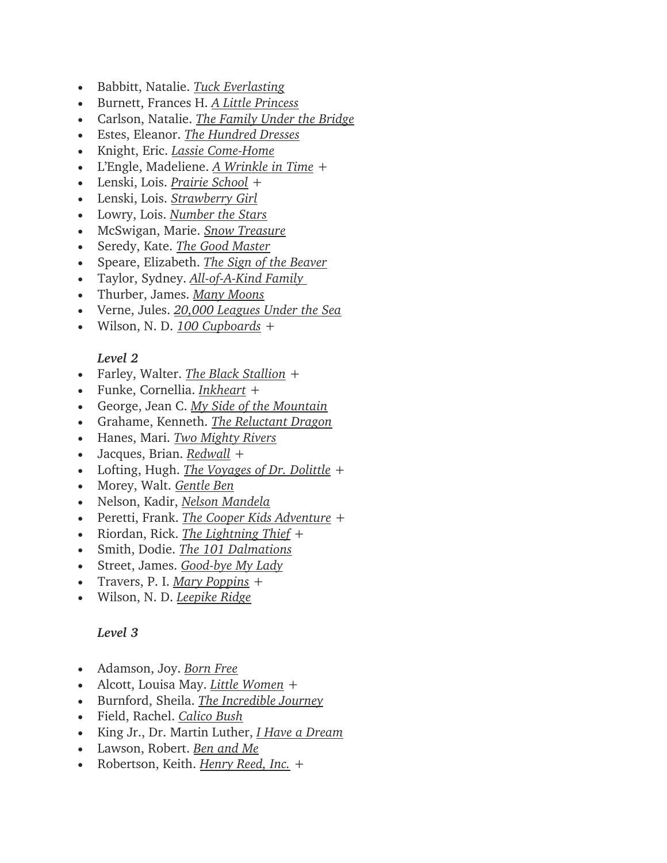- Babbitt, Natalie. *Tuck Everlasting*
- Burnett, Frances H. *A Little Princess*
- Carlson, Natalie. *The Family Under the Bridge*
- Estes, Eleanor. *The Hundred Dresses*
- Knight, Eric. *Lassie Come-Home*
- L'Engle, Madeliene. *A Wrinkle in Time* +
- Lenski, Lois. *Prairie School* +
- Lenski, Lois. *Strawberry Girl*
- Lowry, Lois. *Number the Stars*
- McSwigan, Marie. *Snow Treasure*
- Seredy, Kate. *The Good Master*
- Speare, Elizabeth. *The Sign of the Beaver*
- Taylor, Sydney. *All-of-A-Kind Family*
- Thurber, James. *Many Moons*
- Verne, Jules. *20,000 Leagues Under the Sea*
- Wilson, N. D. *100 Cupboards* +

- Farley, Walter. *The Black Stallion* +
- Funke, Cornellia. *Inkheart* +
- George, Jean C. *My Side of the Mountain*
- Grahame, Kenneth. *The Reluctant Dragon*
- Hanes, Mari. *Two Mighty Rivers*
- Jacques, Brian. *Redwall* +
- Lofting, Hugh. *The Voyages of Dr. Dolittle* +
- Morey, Walt. *Gentle Ben*
- Nelson, Kadir, *Nelson Mandela*
- Peretti, Frank. *The Cooper Kids Adventure* +
- Riordan, Rick. *The Lightning Thief* +
- Smith, Dodie. *The 101 Dalmations*
- Street, James. *Good-bye My Lady*
- Travers, P. I. *Mary Poppins* +
- Wilson, N. D. *Leepike Ridge*

- Adamson, Joy. *Born Free*
- Alcott, Louisa May. *Little Women* +
- Burnford, Sheila. *The Incredible Journey*
- Field, Rachel. *Calico Bush*
- King Jr., Dr. Martin Luther, *I Have a Dream*
- Lawson, Robert. *Ben and Me*
- Robertson, Keith. *Henry Reed, Inc.* +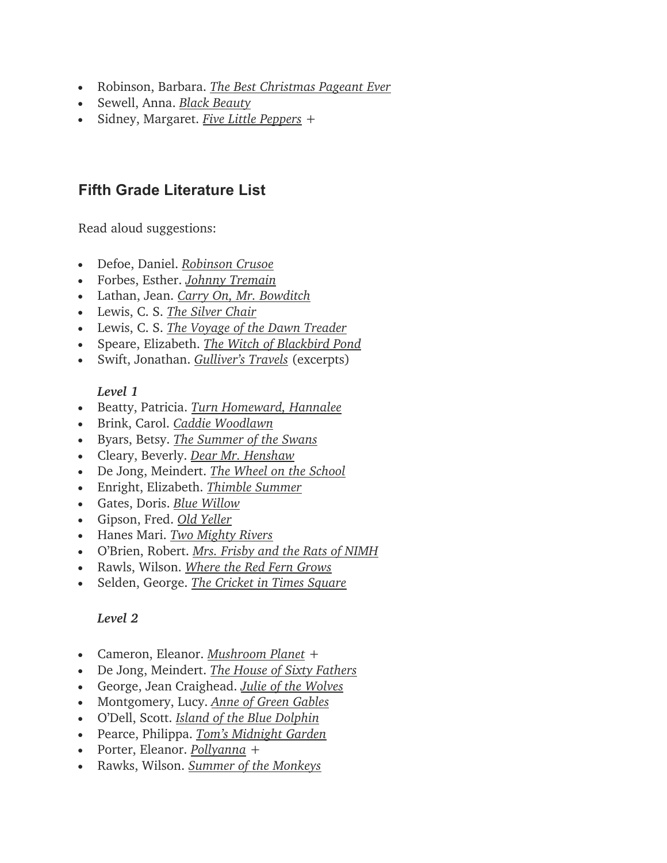- Robinson, Barbara. *The Best Christmas Pageant Ever*
- Sewell, Anna. *Black Beauty*
- Sidney, Margaret. *Five Little Peppers* +

### **Fifth Grade Literature List**

Read aloud suggestions:

- Defoe, Daniel. *Robinson Crusoe*
- Forbes, Esther. *Johnny Tremain*
- Lathan, Jean. *Carry On, Mr. Bowditch*
- Lewis, C. S. *The Silver Chair*
- Lewis, C. S. *The Voyage of the Dawn Treader*
- Speare, Elizabeth. *The Witch of Blackbird Pond*
- Swift, Jonathan. *Gulliver's Travels* (excerpts)

### *Level 1*

- Beatty, Patricia. *Turn Homeward, Hannalee*
- Brink, Carol. *Caddie Woodlawn*
- Byars, Betsy. *The Summer of the Swans*
- Cleary, Beverly. *Dear Mr. Henshaw*
- De Jong, Meindert. *The Wheel on the School*
- Enright, Elizabeth. *Thimble Summer*
- Gates, Doris. *Blue Willow*
- Gipson, Fred. *Old Yeller*
- Hanes Mari. *Two Mighty Rivers*
- O'Brien, Robert. *Mrs. Frisby and the Rats of NIMH*
- Rawls, Wilson. *Where the Red Fern Grows*
- Selden, George. *The Cricket in Times Square*

- Cameron, Eleanor. *Mushroom Planet* +
- De Jong, Meindert. *The House of Sixty Fathers*
- George, Jean Craighead. *Julie of the Wolves*
- Montgomery, Lucy. *Anne of Green Gables*
- O'Dell, Scott. *Island of the Blue Dolphin*
- Pearce, Philippa. *Tom's Midnight Garden*
- Porter, Eleanor. *Pollyanna* +
- Rawks, Wilson. *Summer of the Monkeys*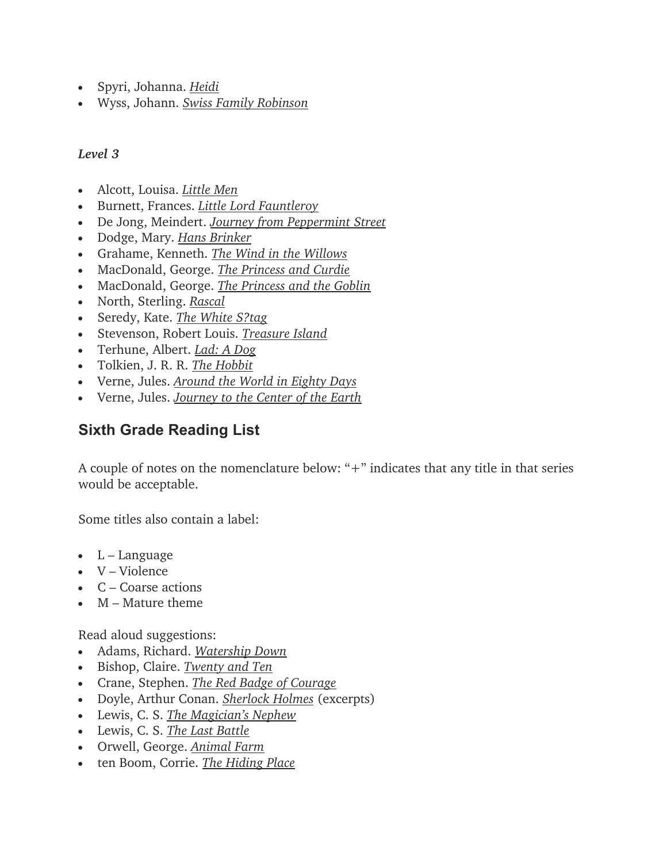- Spyri, Johanna. *Heidi*
- Wyss, Johann. *Swiss Family Robinson*

- Alcott, Louisa. *Little Men*
- Burnett, Frances. *Little Lord Fauntleroy*
- De Jong, Meindert. *Journey from Peppermint Street*
- Dodge, Mary. *Hans Brinker*
- Grahame, Kenneth. *The Wind in the Willows*
- MacDonald, George. *The Princess and Curdie*
- MacDonald, George. *The Princess and the Goblin*
- North, Sterling. *Rascal*
- Seredy, Kate. *The White S?tag*
- Stevenson, Robert Louis. *Treasure Island*
- Terhune, Albert. *Lad: A Dog*
- Tolkien, J. R. R. *The Hobbit*
- Verne, Jules. *Around the World in Eighty Days*
- Verne, Jules. *Journey to the Center of the Earth*

### **Sixth Grade Reading List**

A couple of notes on the nomenclature below: "+" indicates that any title in that series would be acceptable.

Some titles also contain a label:

- $\bullet$  L Language
- V Violence
- C Coarse actions
- M Mature theme

Read aloud suggestions:

- Adams, Richard. *Watership Down*
- Bishop, Claire. *Twenty and Ten*
- Crane, Stephen. *The Red Badge of Courage*
- Doyle, Arthur Conan. *Sherlock Holmes* (excerpts)
- Lewis, C. S. *The Magician's Nephew*
- Lewis, C. S. *The Last Battle*
- Orwell, George. *Animal Farm*
- ten Boom, Corrie. *The Hiding Place*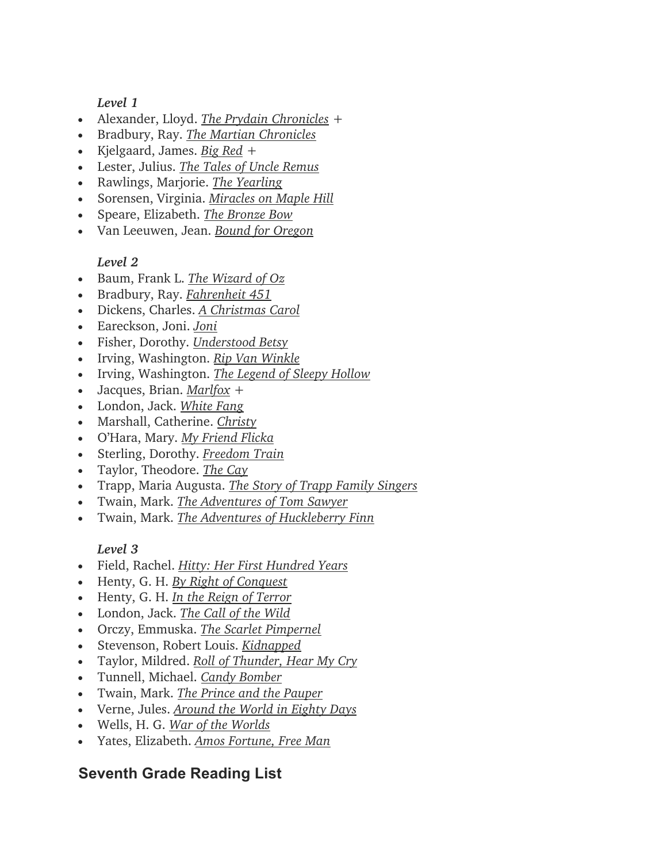- Alexander, Lloyd. *The Prydain Chronicles* +
- Bradbury, Ray. *The Martian Chronicles*
- Kjelgaard, James. *Big Red* +
- Lester, Julius. *The Tales of Uncle Remus*
- Rawlings, Marjorie. *The Yearling*
- Sorensen, Virginia. *Miracles on Maple Hill*
- Speare, Elizabeth. *The Bronze Bow*
- Van Leeuwen, Jean. *Bound for Oregon*

### *Level 2*

- Baum, Frank L. *The Wizard of Oz*
- Bradbury, Ray. *Fahrenheit 451*
- Dickens, Charles. *A Christmas Carol*
- Eareckson, Joni. *Joni*
- Fisher, Dorothy. *Understood Betsy*
- Irving, Washington. *Rip Van Winkle*
- Irving, Washington. *The Legend of Sleepy Hollow*
- Jacques, Brian. *Marlfox* +
- London, Jack. *White Fang*
- Marshall, Catherine. *Christy*
- O'Hara, Mary. *My Friend Flicka*
- Sterling, Dorothy. *Freedom Train*
- Taylor, Theodore. *The Cay*
- Trapp, Maria Augusta. *The Story of Trapp Family Singers*
- Twain, Mark. *The Adventures of Tom Sawyer*
- Twain, Mark. *The Adventures of Huckleberry Finn*

### *Level 3*

- Field, Rachel. *Hitty: Her First Hundred Years*
- Henty, G. H. *By Right of Conquest*
- Henty, G. H. *In the Reign of Terror*
- London, Jack. *The Call of the Wild*
- Orczy, Emmuska. *The Scarlet Pimpernel*
- Stevenson, Robert Louis. *Kidnapped*
- Taylor, Mildred. *Roll of Thunder, Hear My Cry*
- Tunnell, Michael. *Candy Bomber*
- Twain, Mark. *The Prince and the Pauper*
- Verne, Jules. *Around the World in Eighty Days*
- Wells, H. G. *War of the Worlds*
- Yates, Elizabeth. *Amos Fortune, Free Man*

### **Seventh Grade Reading List**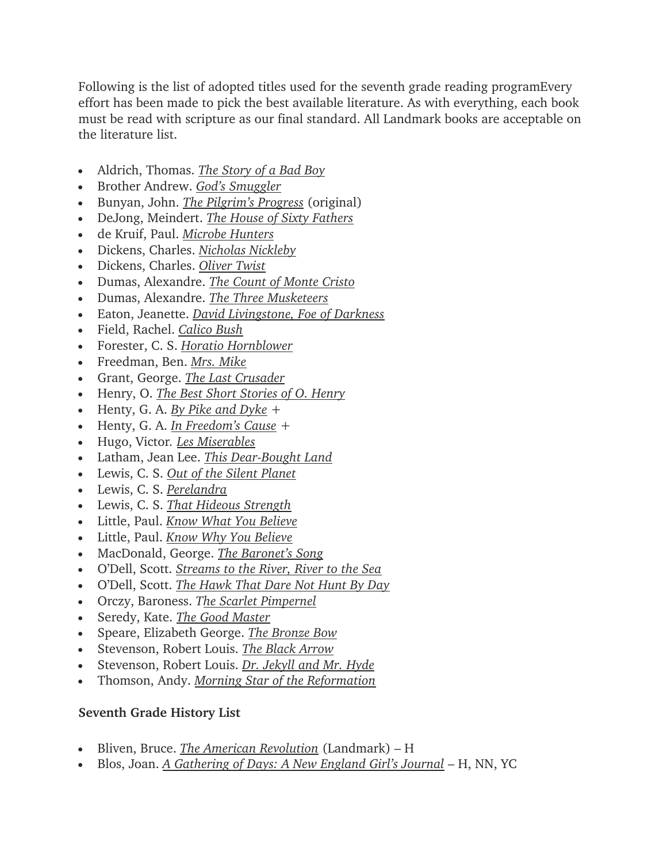Following is the list of adopted titles used for the seventh grade reading programEvery effort has been made to pick the best available literature. As with everything, each book must be read with scripture as our final standard. All Landmark books are acceptable on the literature list.

- Aldrich, Thomas. *The Story of a Bad Boy*
- Brother Andrew. *God's Smuggler*
- Bunyan, John. *The Pilgrim's Progress* (original)
- DeJong, Meindert. *The House of Sixty Fathers*
- de Kruif, Paul. *Microbe Hunters*
- Dickens, Charles. *Nicholas Nickleby*
- Dickens, Charles. *Oliver Twist*
- Dumas, Alexandre. *The Count of Monte Cristo*
- Dumas, Alexandre. *The Three Musketeers*
- Eaton, Jeanette. *David Livingstone, Foe of Darkness*
- Field, Rachel. *Calico Bush*
- Forester, C. S. *Horatio Hornblower*
- Freedman, Ben. *Mrs. Mike*
- Grant, George. *The Last Crusader*
- Henry, O. *The Best Short Stories of O. Henry*
- Henty, G. A. *By Pike and Dyke* +
- Henty, G. A. *In Freedom's Cause* +
- Hugo, Victor*. Les Miserables*
- Latham, Jean Lee. *This Dear-Bought Land*
- Lewis, C. S. *Out of the Silent Planet*
- Lewis, C. S. *Perelandra*
- Lewis, C. S. *That Hideous Strength*
- Little, Paul. *Know What You Believe*
- Little, Paul. *Know Why You Believe*
- MacDonald, George. *The Baronet's Song*
- O'Dell, Scott. *Streams to the River, River to the Sea*
- O'Dell, Scott. *The Hawk That Dare Not Hunt By Day*
- Orczy, Baroness. *The Scarlet Pimpernel*
- Seredy, Kate. *The Good Master*
- Speare, Elizabeth George. *The Bronze Bow*
- Stevenson, Robert Louis. *The Black Arrow*
- Stevenson, Robert Louis. *Dr. Jekyll and Mr. Hyde*
- Thomson, Andy. *Morning Star of the Reformation*

### **Seventh Grade History List**

- Bliven, Bruce. *The American Revolution* (Landmark) H
- Blos, Joan. *A Gathering of Days: A New England Girl's Journal* H, NN, YC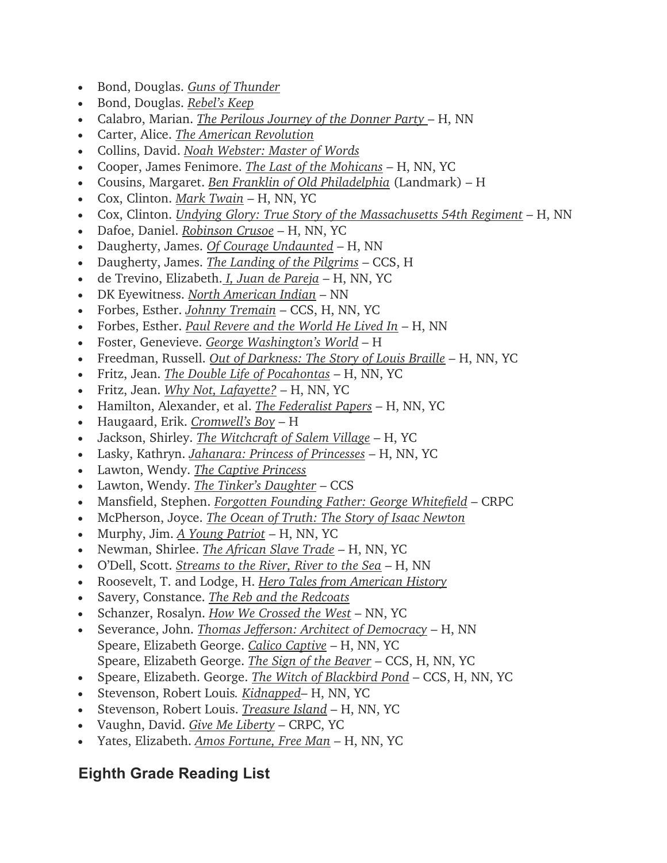- Bond, Douglas. *Guns of Thunder*
- Bond, Douglas. *Rebel's Keep*
- Calabro, Marian. *The Perilous Journey of the Donner Party* H, NN
- Carter, Alice. *The American Revolution*
- Collins, David. *Noah Webster: Master of Words*
- Cooper, James Fenimore. *The Last of the Mohicans* H, NN, YC
- Cousins, Margaret. *Ben Franklin of Old Philadelphia* (Landmark) H
- Cox, Clinton. *Mark Twain* H, NN, YC
- Cox, Clinton. *Undying Glory: True Story of the Massachusetts 54th Regiment* H, NN
- Dafoe, Daniel. *Robinson Crusoe* H, NN, YC
- Daugherty, James. *Of Courage Undaunted* H, NN
- Daugherty, James. *The Landing of the Pilgrims* CCS, H
- de Trevino, Elizabeth. *I, Juan de Pareja* H, NN, YC
- DK Eyewitness. *North American Indian* NN
- Forbes, Esther. *Johnny Tremain* CCS, H, NN, YC
- Forbes, Esther. *Paul Revere and the World He Lived In* H, NN
- Foster, Genevieve. *George Washington's World* H
- Freedman, Russell. *Out of Darkness: The Story of Louis Braille* H, NN, YC
- Fritz, Jean. *The Double Life of Pocahontas* H, NN, YC
- Fritz, Jean. *Why Not, Lafayette?* H, NN, YC
- Hamilton, Alexander, et al. *The Federalist Papers* H, NN, YC
- Haugaard, Erik. *Cromwell's Boy* H
- Jackson, Shirley. *The Witchcraft of Salem Village* H, YC
- Lasky, Kathryn. *Jahanara: Princess of Princesses* H, NN, YC
- Lawton, Wendy. *The Captive Princess*
- Lawton, Wendy. *The Tinker's Daughter* CCS
- Mansfield, Stephen. *Forgotten Founding Father: George Whitefield* CRPC
- McPherson, Joyce. *The Ocean of Truth: The Story of Isaac Newton*
- Murphy, Jim. *A Young Patriot* H, NN, YC
- Newman, Shirlee. *The African Slave Trade* H, NN, YC
- O'Dell, Scott. *Streams to the River, River to the Sea* H, NN
- Roosevelt, T. and Lodge, H. *Hero Tales from American History*
- Savery, Constance. *The Reb and the Redcoats*
- Schanzer, Rosalyn. *How We Crossed the West* NN, YC
- Severance, John. *Thomas Jefferson: Architect of Democracy* H, NN Speare, Elizabeth George. *Calico Captive* – H, NN, YC Speare, Elizabeth George. *The Sign of the Beaver* – CCS, H, NN, YC
- Speare, Elizabeth. George. *The Witch of Blackbird Pond* CCS, H, NN, YC
- Stevenson, Robert Louis*. Kidnapped* H, NN, YC
- Stevenson, Robert Louis. *Treasure Island* H, NN, YC
- Vaughn, David. *Give Me Liberty* CRPC, YC
- Yates, Elizabeth. *Amos Fortune, Free Man* H, NN, YC

### **Eighth Grade Reading List**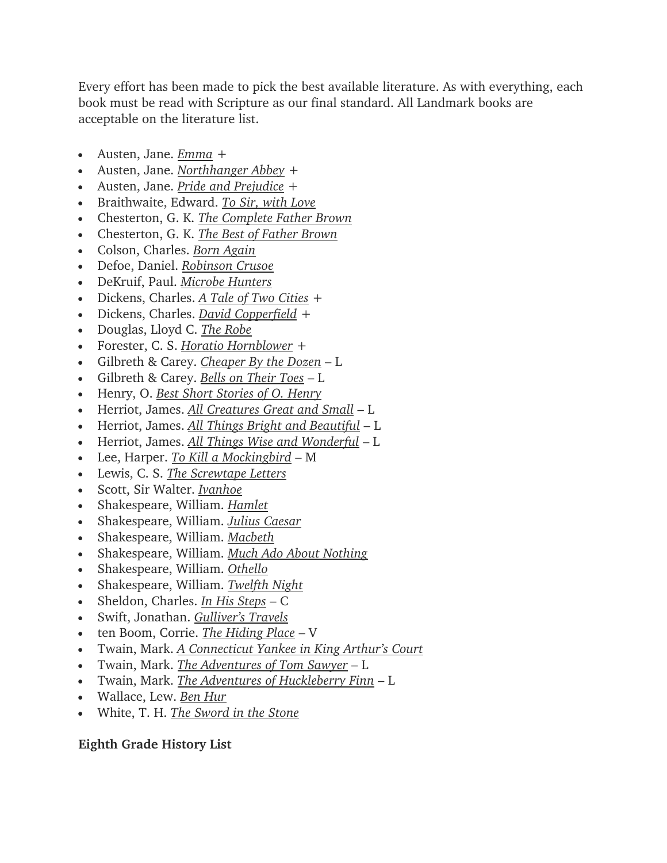Every effort has been made to pick the best available literature. As with everything, each book must be read with Scripture as our final standard. All Landmark books are acceptable on the literature list.

- Austen, Jane. *Emma* +
- Austen, Jane. *Northhanger Abbey* +
- Austen, Jane. *Pride and Prejudice* +
- Braithwaite, Edward. *To Sir, with Love*
- Chesterton, G. K. *The Complete Father Brown*
- Chesterton, G. K. *The Best of Father Brown*
- Colson, Charles. *Born Again*
- Defoe, Daniel. *Robinson Crusoe*
- DeKruif, Paul. *Microbe Hunters*
- Dickens, Charles. *A Tale of Two Cities* +
- Dickens, Charles. *David Copperfield* +
- Douglas, Lloyd C. *The Robe*
- Forester, C. S. *Horatio Hornblower* +
- Gilbreth & Carey. *Cheaper By the Dozen* L
- Gilbreth & Carey. *Bells on Their Toes* L
- Henry, O. *Best Short Stories of O. Henry*
- Herriot, James. *All Creatures Great and Small* L
- Herriot, James. *All Things Bright and Beautiful* L
- Herriot, James. *All Things Wise and Wonderful* L
- Lee, Harper. *To Kill a Mockingbird* M
- Lewis, C. S. *The Screwtape Letters*
- Scott, Sir Walter. *Ivanhoe*
- Shakespeare, William. *Hamlet*
- Shakespeare, William. *Julius Caesar*
- Shakespeare, William. *Macbeth*
- Shakespeare, William. *Much Ado About Nothing*
- Shakespeare, William. *Othello*
- Shakespeare, William. *Twelfth Night*
- Sheldon, Charles. *In His Steps* C
- Swift, Jonathan. *Gulliver's Travels*
- ten Boom, Corrie. *The Hiding Place* V
- Twain, Mark. *A Connecticut Yankee in King Arthur's Court*
- Twain, Mark. *The Adventures of Tom Sawyer* L
- Twain, Mark. *The Adventures of Huckleberry Finn* L
- Wallace, Lew. *Ben Hur*
- White, T. H. *The Sword in the Stone*

### **Eighth Grade History List**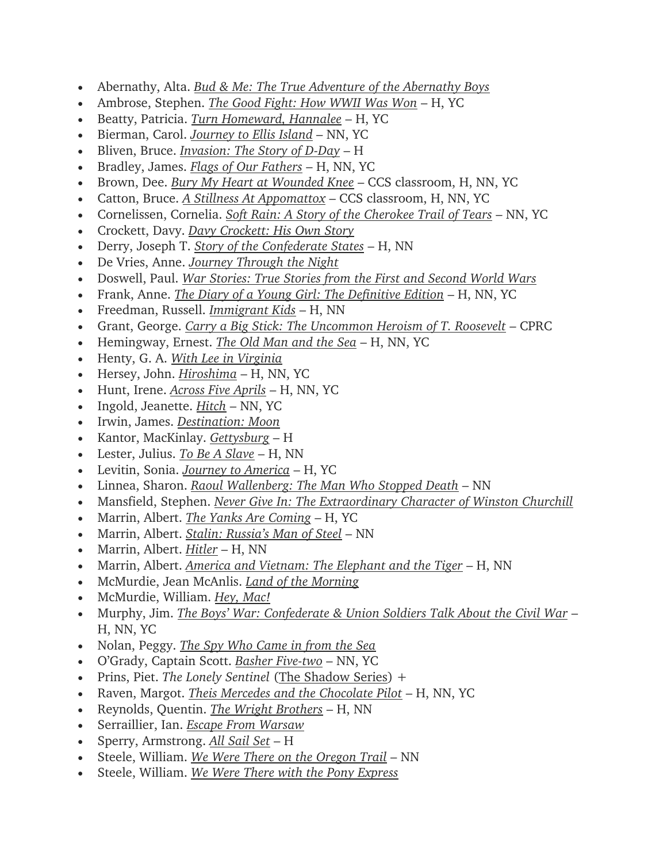- Abernathy, Alta. *Bud & Me: The True Adventure of the Abernathy Boys*
- Ambrose, Stephen. *The Good Fight: How WWII Was Won* H, YC
- Beatty, Patricia. *Turn Homeward, Hannalee* H, YC
- Bierman, Carol. *Journey to Ellis Island* NN, YC
- Bliven, Bruce. *Invasion: The Story of D-Day* H
- Bradley, James. *Flags of Our Fathers* H, NN, YC
- Brown, Dee. *Bury My Heart at Wounded Knee* CCS classroom, H, NN, YC
- Catton, Bruce. *A Stillness At Appomattox* CCS classroom, H, NN, YC
- Cornelissen, Cornelia. *Soft Rain: A Story of the Cherokee Trail of Tears* NN, YC
- Crockett, Davy. *Davy Crockett: His Own Story*
- Derry, Joseph T. *Story of the Confederate States* H, NN
- De Vries, Anne. *Journey Through the Night*
- Doswell, Paul. *War Stories: True Stories from the First and Second World Wars*
- Frank, Anne. *The Diary of a Young Girl: The Definitive Edition* H, NN, YC
- Freedman, Russell. *Immigrant Kids* H, NN
- Grant, George. *Carry a Big Stick: The Uncommon Heroism of T. Roosevelt* CPRC
- Hemingway, Ernest. *The Old Man and the Sea* H, NN, YC
- Henty, G. A. *With Lee in Virginia*
- Hersey, John. *Hiroshima* H, NN, YC
- Hunt, Irene. *Across Five Aprils* H, NN, YC
- Ingold, Jeanette. *Hitch* NN, YC
- Irwin, James. *Destination: Moon*
- Kantor, MacKinlay. *Gettysburg* H
- Lester, Julius. *To Be A Slave* H, NN
- Levitin, Sonia. *Journey to America* H, YC
- Linnea, Sharon. *Raoul Wallenberg: The Man Who Stopped Death* NN
- Mansfield, Stephen. *Never Give In: The Extraordinary Character of Winston Churchill*
- Marrin, Albert. *The Yanks Are Coming* H, YC
- Marrin, Albert. *Stalin: Russia's Man of Steel* NN
- Marrin, Albert. *Hitler* H, NN
- Marrin, Albert. *America and Vietnam: The Elephant and the Tiger* H, NN
- McMurdie, Jean McAnlis. *Land of the Morning*
- McMurdie, William. *Hey, Mac!*
- Murphy, Jim. *The Boys' War: Confederate & Union Soldiers Talk About the Civil War* H, NN, YC
- Nolan, Peggy. *The Spy Who Came in from the Sea*
- O'Grady, Captain Scott. *Basher Five-two* NN, YC
- Prins, Piet. *The Lonely Sentinel* (The Shadow Series) +
- Raven, Margot. *Theis Mercedes and the Chocolate Pilot* H, NN, YC
- Reynolds, Quentin. *The Wright Brothers* H, NN
- Serraillier, Ian. *Escape From Warsaw*
- Sperry, Armstrong. *All Sail Set* H
- Steele, William. *We Were There on the Oregon Trail* NN
- Steele, William. *We Were There with the Pony Express*